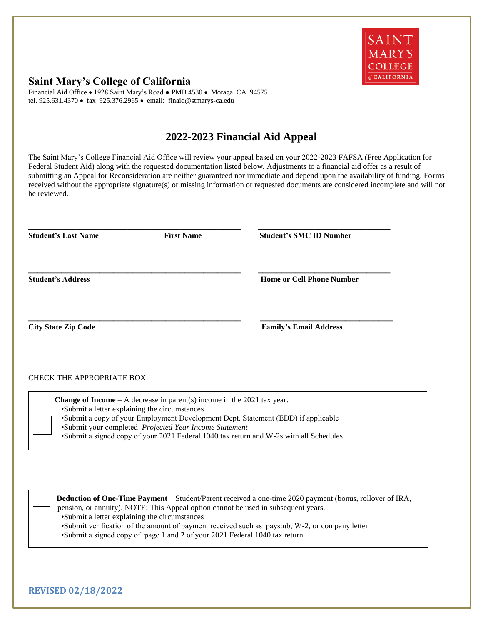

## **Saint Mary's College of California**

Financial Aid Office • 1928 Saint Mary's Road • PMB 4530 • Moraga CA 94575 tel. 925.631.4370 · fax 925.376.2965 · email: finaid@stmarys-ca.edu

## **2022-2023 Financial Aid Appeal**

The Saint Mary's College Financial Aid Office will review your appeal based on your 2022-2023 FAFSA (Free Application for Federal Student Aid) along with the requested documentation listed below. Adjustments to a financial aid offer as a result of submitting an Appeal for Reconsideration are neither guaranteed nor immediate and depend upon the availability of funding. Forms received without the appropriate signature(s) or missing information or requested documents are considered incomplete and will not be reviewed.

| <b>Student's Last Name</b>       | <b>First Name</b> | <b>Student's SMC ID Number</b>   |
|----------------------------------|-------------------|----------------------------------|
| <b>Student's Address</b>         |                   | <b>Home or Cell Phone Number</b> |
| <b>City State Zip Code</b>       |                   | <b>Family's Email Address</b>    |
| <b>CHECK THE APPROPRIATE BOX</b> |                   |                                  |

 **Change of Income** – A decrease in parent(s) income in the 2021 tax year. •Submit a letter explaining the circumstances •Submit a copy of your Employment Development Dept. Statement (EDD) if applicable •Submit your completed *Projected Year Income Statement* •Submit a signed copy of your 2021 Federal 1040 tax return and W-2s with all Schedules

 **Deduction of One-Time Payment** – Student/Parent received a one-time 2020 payment (bonus, rollover of IRA, pension, or annuity). NOTE: This Appeal option cannot be used in subsequent years. •Submit a letter explaining the circumstances •Submit verification of the amount of payment received such as paystub, W-2, or company letter

•Submit a signed copy of page 1 and 2 of your 2021 Federal 1040 tax return